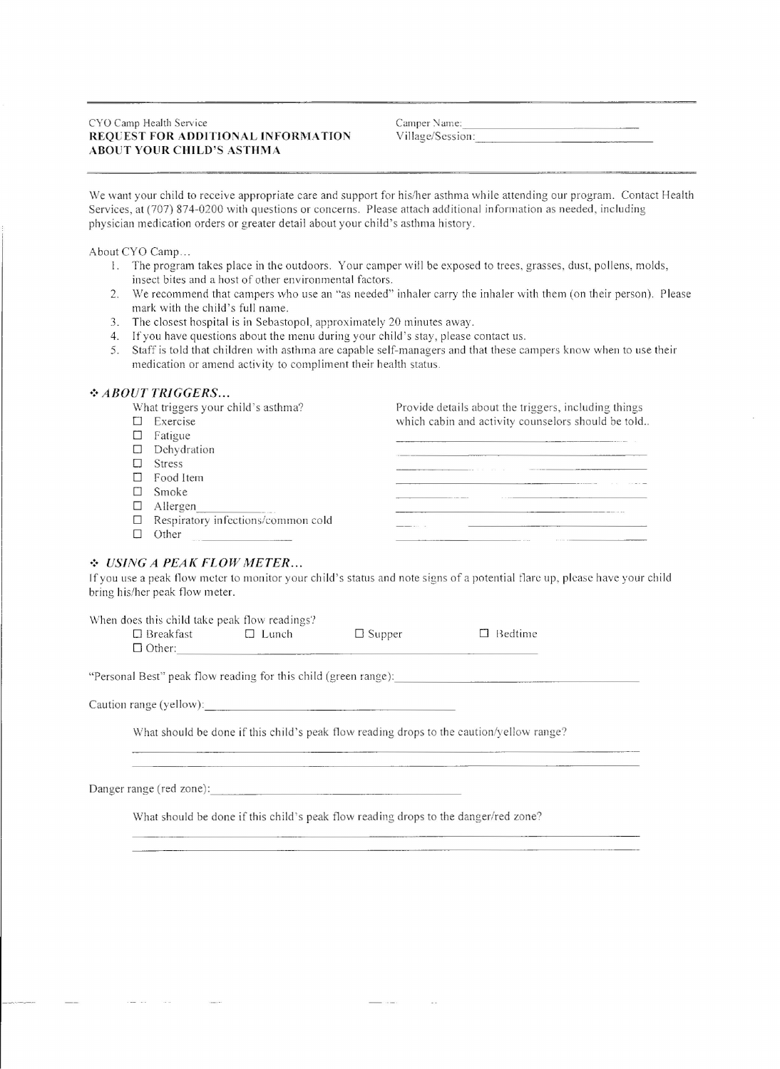#### CYO Camp Health Service REQUEST FOR ADDITIONAL INFORMATION **ABOUT YOUR CHILD'S ASTHMA**

Camper Name: \_ Village/Session: \_

We want your child to receive appropriate care and support for his/her asthma while attending our program. Contact Health Services, at (707) 874-0200 with questions or concerns. Please attach additional information as needed, including physician medication orders or greater detail about your child's asthma history.

About CYO Camp...

- I. The program takes place in the outdoors. Your camper will be exposed to trees, grasses, dust, pollens, molds, insect bites and a host of other environmental factors.
- 2. We recommend that campers who use an "as needed" inhaler carry the inhaler with them (on their person). Please mark with the child's full name.
- 3. The closest hospital is in Sebastopol, approximately 20 minutes away.
- 4. Ifyou have questions about the menu during your child's stay, please contact us.
- 5. Staff is told that children with asthma are capable self-managers and that these campers know when to use their medication or amend activity to compliment their health status .

# *•:. ABOUT TRIGGERS ...*

| What triggers your child's asthma? |                                           | Provide details about the triggers, including things |
|------------------------------------|-------------------------------------------|------------------------------------------------------|
|                                    | Exercise                                  | which cabin and activity counselors should be told   |
|                                    | Fatigue                                   |                                                      |
|                                    | $\Box$ Dehydration                        |                                                      |
|                                    | <b>Stress</b>                             |                                                      |
|                                    | Food Item                                 |                                                      |
|                                    | Smoke                                     |                                                      |
|                                    | Allergen                                  |                                                      |
|                                    | $\Box$ Respiratory infections/common cold |                                                      |
|                                    | Other                                     |                                                      |

# *.:. USING A PEAl( FLOW METER ...*

If you use a peak flow meter to monitor your child's status and note signs of a potential flare up, please have your child bring his/her peak flow meter.

| When does this child take peak flow readings? |              |               |                |
|-----------------------------------------------|--------------|---------------|----------------|
| $\Box$ Breakfast                              | $\Box$ Lunch | $\Box$ Supper | $\Box$ Bedtime |
| $\Box$ Other:                                 |              |               |                |

"Personal Best" peak flow reading for this child (green range): \_

Caution range (yellow): \_

What should be done if this child's peak flow reading drops to the caution/yellow range?

Danger range (red zone): \_

What should be done if this child's peak flow reading drops to the danger/red zone?